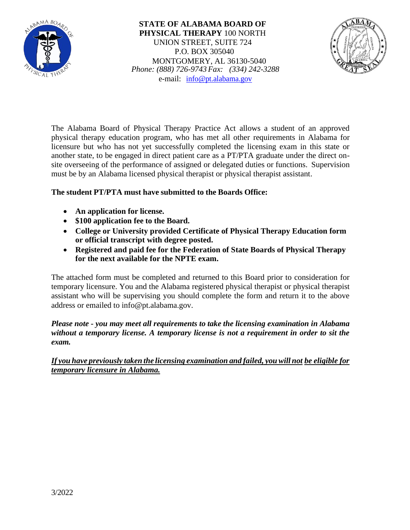

**STATE OF ALABAMA BOARD OF PHYSICAL THERAPY** 100 NORTH UNION STREET, SUITE 724 P.O. BOX 305040 MONTGOMERY, AL 36130-5040 *Phone: (888) 726-9743Fax: (334) 242-3288* e-mail: [info@pt.alabama.gov](mailto:info@pt.alabama.gov)



The Alabama Board of Physical Therapy Practice Act allows a student of an approved physical therapy education program, who has met all other requirements in Alabama for licensure but who has not yet successfully completed the licensing exam in this state or another state, to be engaged in direct patient care as a PT/PTA graduate under the direct onsite overseeing of the performance of assigned or delegated duties or functions. Supervision must be by an Alabama licensed physical therapist or physical therapist assistant.

## **The student PT/PTA must have submitted to the Boards Office:**

- **An application for license.**
- **\$100 application fee to the Board.**
- **College or University provided Certificate of Physical Therapy Education form or official transcript with degree posted.**
- **Registered and paid fee for the Federation of State Boards of Physical Therapy for the next available for the NPTE exam.**

The attached form must be completed and returned to this Board prior to consideration for temporary licensure. You and the Alabama registered physical therapist or physical therapist assistant who will be supervising you should complete the form and return it to the above address or emailed to info@pt.alabama.gov.

*Please note - you may meet all requirements to take the licensing examination in Alabama without a temporary license. A temporary license is not a requirement in order to sit the exam.*

*If you have previously taken the licensing examination and failed, youwill not be eligible for temporary licensure in Alabama.*